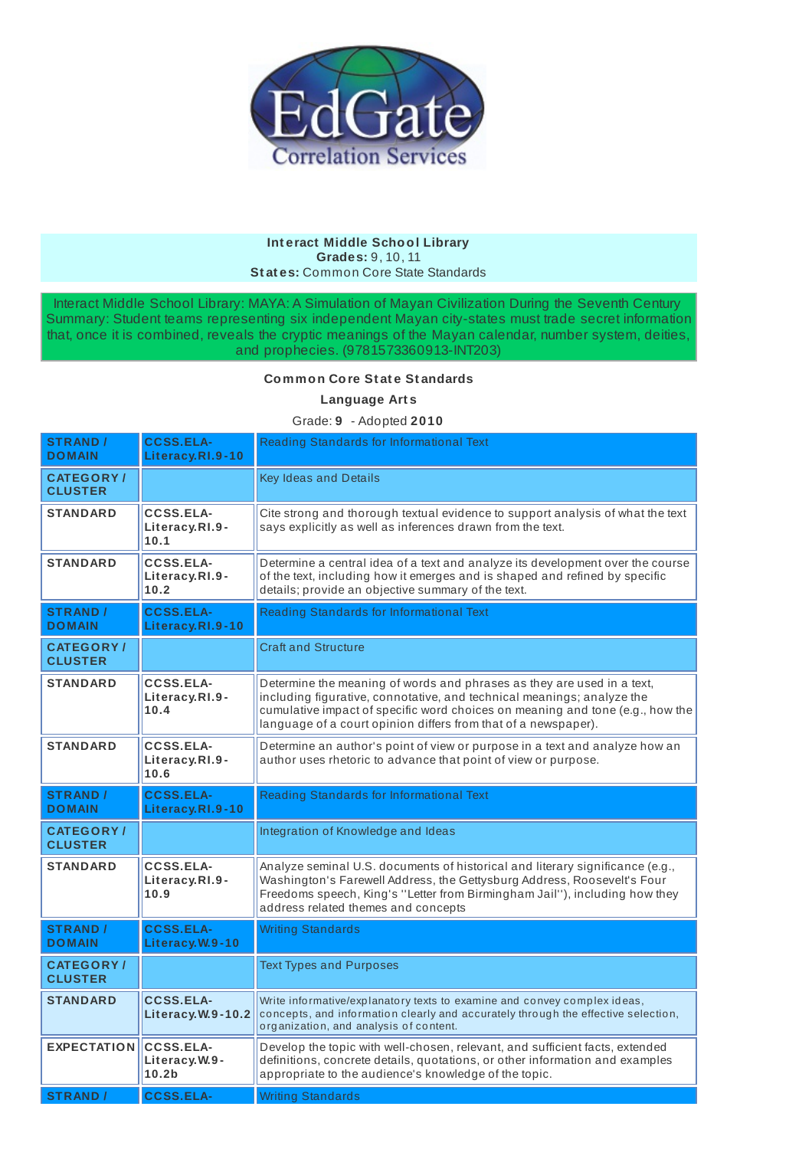

#### **Int eract Middle School Library Grades:** 9, 10, 11 **St at es:** Common Core State Standards

Interact Middle School Library: MAYA: A Simulation of Mayan Civilization During the Seventh Century Summary: Student teams representing six independent Mayan city-states must trade secret information that, once it is combined, reveals the cryptic meanings of the Mayan calendar, number system, deities, and prophecies. (9781573360913-INT203)

### **Common Core St at e St andards**

**Language Art s**

# Grade: **9** - Adopted **2010**

| <b>STRAND /</b><br><b>DOMAIN</b>    | <b>CCSS.ELA-</b><br>Literacy.RI.9-10                   | Reading Standards for Informational Text                                                                                                                                                                                                                                                            |
|-------------------------------------|--------------------------------------------------------|-----------------------------------------------------------------------------------------------------------------------------------------------------------------------------------------------------------------------------------------------------------------------------------------------------|
| <b>CATEGORY/</b><br><b>CLUSTER</b>  |                                                        | <b>Key Ideas and Details</b>                                                                                                                                                                                                                                                                        |
| <b>STANDARD</b>                     | <b>CCSS.ELA-</b><br>Literacy.RI.9-<br>10.1             | Cite strong and thorough textual evidence to support analysis of what the text<br>says explicitly as well as inferences drawn from the text.                                                                                                                                                        |
| <b>STANDARD</b>                     | <b>CCSS.ELA-</b><br>Literacy.RI.9-<br>10.2             | Determine a central idea of a text and analyze its development over the course<br>of the text, including how it emerges and is shaped and refined by specific<br>details; provide an objective summary of the text.                                                                                 |
| <b>STRAND /</b><br><b>DOMAIN</b>    | <b>CCSS.ELA-</b><br>Literacy.RI.9-10                   | Reading Standards for Informational Text                                                                                                                                                                                                                                                            |
| <b>CATEGORY/</b><br><b>CLUSTER</b>  |                                                        | <b>Craft and Structure</b>                                                                                                                                                                                                                                                                          |
| <b>STANDARD</b>                     | <b>CCSS.ELA-</b><br>Literacy.RI.9-<br>10.4             | Determine the meaning of words and phrases as they are used in a text,<br>including figurative, connotative, and technical meanings; analyze the<br>cumulative impact of specific word choices on meaning and tone (e.g., how the<br>language of a court opinion differs from that of a newspaper). |
| <b>STANDARD</b>                     | <b>CCSS.ELA-</b><br>Literacy.RI.9-<br>10.6             | Determine an author's point of view or purpose in a text and analyze how an<br>author uses rhetoric to advance that point of view or purpose.                                                                                                                                                       |
| <b>STRAND /</b><br><b>DOMAIN</b>    | <b>CCSS.ELA-</b><br>Literacy.RI.9-10                   | Reading Standards for Informational Text                                                                                                                                                                                                                                                            |
| <b>CATEGORY</b> /<br><b>CLUSTER</b> |                                                        | Integration of Knowledge and Ideas                                                                                                                                                                                                                                                                  |
| <b>STANDARD</b>                     | <b>CCSS.ELA-</b><br>Literacy.RI.9-<br>10.9             | Analyze seminal U.S. documents of historical and literary significance (e.g.,<br>Washington's Farewell Address, the Gettysburg Address, Roosevelt's Four<br>Freedoms speech, King's "Letter from Birmingham Jail"), including how they<br>address related themes and concepts                       |
| <b>STRAND /</b><br><b>DOMAIN</b>    | <b>CCSS.ELA-</b><br>Literacy.W.9-10                    | <b>Writing Standards</b>                                                                                                                                                                                                                                                                            |
| <b>CATEGORY /</b><br><b>CLUSTER</b> |                                                        | <b>Text Types and Purposes</b>                                                                                                                                                                                                                                                                      |
| <b>STANDARD</b>                     | <b>CCSS.ELA-</b><br>Literacy.W.9-10.2                  | Write informative/explanatory texts to examine and convey complex ideas,<br>concepts, and information clearly and accurately through the effective selection,<br>organization, and analysis of content.                                                                                             |
| <b>EXPECTATION</b>                  | <b>CCSS.ELA-</b><br>Literacy.W.9-<br>10.2 <sub>b</sub> | Develop the topic with well-chosen, relevant, and sufficient facts, extended<br>definitions, concrete details, quotations, or other information and examples<br>appropriate to the audience's knowledge of the topic.                                                                               |
| <b>STRAND</b>                       | <b>CCSS.ELA-</b>                                       | <b>Writing Standards</b>                                                                                                                                                                                                                                                                            |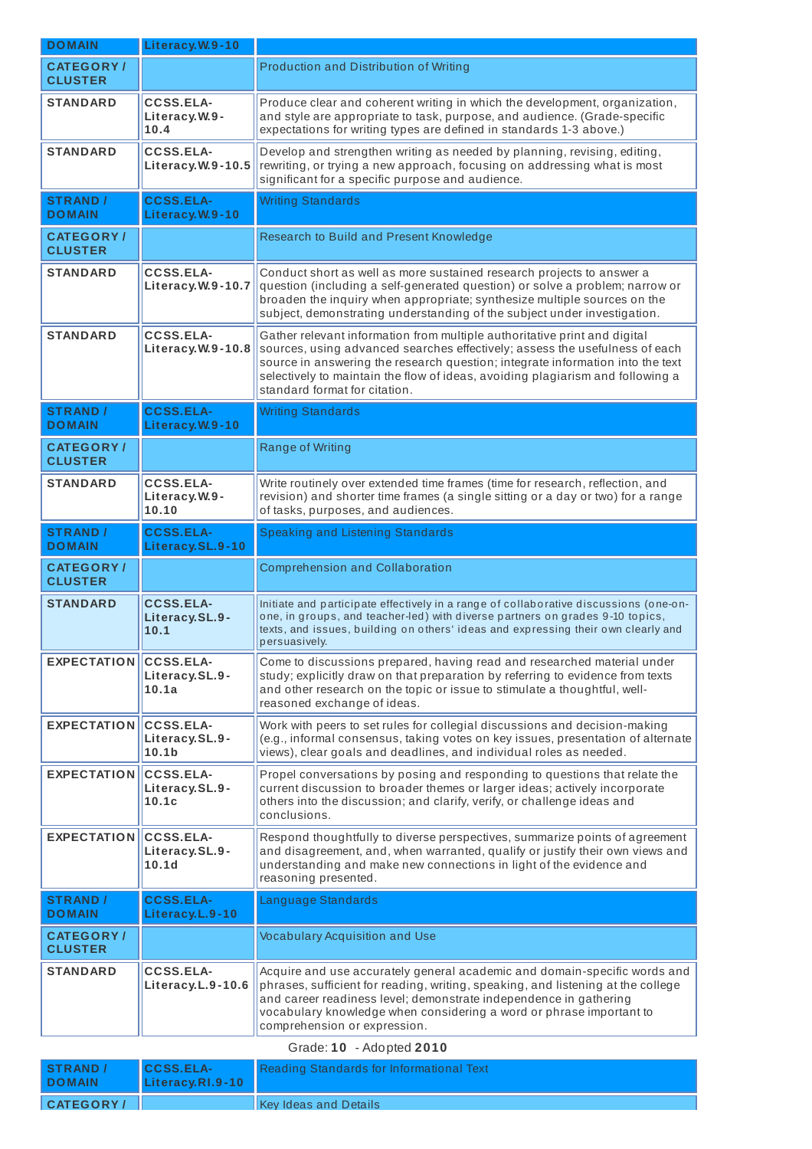| <b>CATEGORY</b> /<br>Production and Distribution of Writing<br><b>CLUSTER</b><br><b>CCSS.ELA-</b><br>Produce clear and coherent writing in which the development, organization,<br><b>STANDARD</b><br>and style are appropriate to task, purpose, and audience. (Grade-specific<br>Literacy.W.9-<br>expectations for writing types are defined in standards 1-3 above.)<br>10.4<br><b>STANDARD</b><br><b>CCSS.ELA-</b><br>Develop and strengthen writing as needed by planning, revising, editing,<br>rewriting, or trying a new approach, focusing on addressing what is most<br>Literacy.W.9-10.5<br>significant for a specific purpose and audience.<br><b>CCSS.ELA-</b><br><b>Writing Standards</b><br><b>STRAND</b> /<br><b>DOMAIN</b><br>Literacy.W.9-10<br>Research to Build and Present Knowledge<br><b>CATEGORY/</b><br><b>CLUSTER</b><br><b>STANDARD</b><br><b>CCSS.ELA-</b><br>Conduct short as well as more sustained research projects to answer a<br>Literacy.W.9-10.7<br>question (including a self-generated question) or solve a problem; narrow or<br>broaden the inquiry when appropriate; synthesize multiple sources on the<br>subject, demonstrating understanding of the subject under investigation.<br>CCSS.ELA-<br><b>STANDARD</b><br>Gather relevant information from multiple authoritative print and digital<br>sources, using advanced searches effectively; assess the usefulness of each<br>Literacy.W.9-10.8<br>source in answering the research question; integrate information into the text<br>selectively to maintain the flow of ideas, avoiding plagiarism and following a<br>standard format for citation.<br><b>CCSS.ELA-</b><br><b>Writing Standards</b><br><b>STRAND /</b><br><b>DOMAIN</b><br>Literacy.W.9-10<br><b>Range of Writing</b><br><b>CATEGORY/</b><br><b>CLUSTER</b><br><b>CCSS.ELA-</b><br>Write routinely over extended time frames (time for research, reflection, and<br><b>STANDARD</b><br>Literacy.W.9-<br>revision) and shorter time frames (a single sitting or a day or two) for a range<br>10.10<br>of tasks, purposes, and audiences.<br><b>CCSS.ELA-</b><br><b>Speaking and Listening Standards</b><br><b>STRAND</b> /<br>Literacy.SL.9-10<br><b>DOMAIN</b><br><b>CATEGORY/</b><br><b>Comprehension and Collaboration</b><br><b>CLUSTER</b><br><b>CCSS.ELA-</b><br><b>STANDARD</b><br>Initiate and participate effectively in a range of collaborative discussions (one-on-<br>one, in groups, and teacher-led) with diverse partners on grades 9-10 topics,<br>Literacy.SL.9-<br>texts, and issues, building on others' ideas and expressing their own clearly and<br>10.1<br>persuasively.<br><b>EXPECTATION</b><br><b>CCSS.ELA-</b><br>Come to discussions prepared, having read and researched material under<br>study; explicitly draw on that preparation by referring to evidence from texts<br>Literacy.SL.9-<br>10.1a<br>and other research on the topic or issue to stimulate a thoughtful, well-<br>reasoned exchange of ideas.<br><b>EXPECTATION</b><br><b>CCSS.ELA-</b><br>Work with peers to set rules for collegial discussions and decision-making<br>(e.g., informal consensus, taking votes on key issues, presentation of alternate<br>Literacy.SL.9-<br>views), clear goals and deadlines, and individual roles as needed.<br>10.1 <sub>b</sub><br><b>EXPECTATION</b><br><b>CCSS.ELA-</b><br>Propel conversations by posing and responding to questions that relate the<br>Literacy.SL.9-<br>current discussion to broader themes or larger ideas; actively incorporate<br>others into the discussion; and clarify, verify, or challenge ideas and<br>10.1c<br>conclusions.<br><b>EXPECTATION</b><br><b>CCSS.ELA-</b><br>Respond thoughtfully to diverse perspectives, summarize points of agreement<br>Literacy.SL.9-<br>and disagreement, and, when warranted, qualify or justify their own views and<br>understanding and make new connections in light of the evidence and<br>10.1d<br>reasoning presented.<br><b>CCSS.ELA-</b><br><b>STRAND /</b><br>Language Standards<br><b>DOMAIN</b><br>Literacy.L.9-10<br><b>CATEGORY/</b><br><b>Vocabulary Acquisition and Use</b><br><b>CLUSTER</b><br><b>CCSS.ELA-</b><br><b>STANDARD</b><br>Acquire and use accurately general academic and domain-specific words and<br>phrases, sufficient for reading, writing, speaking, and listening at the college<br>Literacy.L.9-10.6<br>and career readiness level; demonstrate independence in gathering<br>vocabulary knowledge when considering a word or phrase important to<br>comprehension or expression. | <b>DOMAIN</b> | Literacy.W.9-10 |                          |
|------------------------------------------------------------------------------------------------------------------------------------------------------------------------------------------------------------------------------------------------------------------------------------------------------------------------------------------------------------------------------------------------------------------------------------------------------------------------------------------------------------------------------------------------------------------------------------------------------------------------------------------------------------------------------------------------------------------------------------------------------------------------------------------------------------------------------------------------------------------------------------------------------------------------------------------------------------------------------------------------------------------------------------------------------------------------------------------------------------------------------------------------------------------------------------------------------------------------------------------------------------------------------------------------------------------------------------------------------------------------------------------------------------------------------------------------------------------------------------------------------------------------------------------------------------------------------------------------------------------------------------------------------------------------------------------------------------------------------------------------------------------------------------------------------------------------------------------------------------------------------------------------------------------------------------------------------------------------------------------------------------------------------------------------------------------------------------------------------------------------------------------------------------------------------------------------------------------------------------------------------------------------------------------------------------------------------------------------------------------------------------------------------------------------------------------------------------------------------------------------------------------------------------------------------------------------------------------------------------------------------------------------------------------------------------------------------------------------------------------------------------------------------------------------------------------------------------------------------------------------------------------------------------------------------------------------------------------------------------------------------------------------------------------------------------------------------------------------------------------------------------------------------------------------------------------------------------------------------------------------------------------------------------------------------------------------------------------------------------------------------------------------------------------------------------------------------------------------------------------------------------------------------------------------------------------------------------------------------------------------------------------------------------------------------------------------------------------------------------------------------------------------------------------------------------------------------------------------------------------------------------------------------------------------------------------------------------------------------------------------------------------------------------------------------------------------------------------------------------------------------------------------------------------------------------------------------------------------------------------------------------------------------------------------------------------------------------------------------------------------------------------------------------------------------------------------------------------------------------------------------------------------------------------------------------------------------------------------|---------------|-----------------|--------------------------|
|                                                                                                                                                                                                                                                                                                                                                                                                                                                                                                                                                                                                                                                                                                                                                                                                                                                                                                                                                                                                                                                                                                                                                                                                                                                                                                                                                                                                                                                                                                                                                                                                                                                                                                                                                                                                                                                                                                                                                                                                                                                                                                                                                                                                                                                                                                                                                                                                                                                                                                                                                                                                                                                                                                                                                                                                                                                                                                                                                                                                                                                                                                                                                                                                                                                                                                                                                                                                                                                                                                                                                                                                                                                                                                                                                                                                                                                                                                                                                                                                                                                                                                                                                                                                                                                                                                                                                                                                                                                                                                                                                                                                |               |                 |                          |
|                                                                                                                                                                                                                                                                                                                                                                                                                                                                                                                                                                                                                                                                                                                                                                                                                                                                                                                                                                                                                                                                                                                                                                                                                                                                                                                                                                                                                                                                                                                                                                                                                                                                                                                                                                                                                                                                                                                                                                                                                                                                                                                                                                                                                                                                                                                                                                                                                                                                                                                                                                                                                                                                                                                                                                                                                                                                                                                                                                                                                                                                                                                                                                                                                                                                                                                                                                                                                                                                                                                                                                                                                                                                                                                                                                                                                                                                                                                                                                                                                                                                                                                                                                                                                                                                                                                                                                                                                                                                                                                                                                                                |               |                 |                          |
|                                                                                                                                                                                                                                                                                                                                                                                                                                                                                                                                                                                                                                                                                                                                                                                                                                                                                                                                                                                                                                                                                                                                                                                                                                                                                                                                                                                                                                                                                                                                                                                                                                                                                                                                                                                                                                                                                                                                                                                                                                                                                                                                                                                                                                                                                                                                                                                                                                                                                                                                                                                                                                                                                                                                                                                                                                                                                                                                                                                                                                                                                                                                                                                                                                                                                                                                                                                                                                                                                                                                                                                                                                                                                                                                                                                                                                                                                                                                                                                                                                                                                                                                                                                                                                                                                                                                                                                                                                                                                                                                                                                                |               |                 |                          |
|                                                                                                                                                                                                                                                                                                                                                                                                                                                                                                                                                                                                                                                                                                                                                                                                                                                                                                                                                                                                                                                                                                                                                                                                                                                                                                                                                                                                                                                                                                                                                                                                                                                                                                                                                                                                                                                                                                                                                                                                                                                                                                                                                                                                                                                                                                                                                                                                                                                                                                                                                                                                                                                                                                                                                                                                                                                                                                                                                                                                                                                                                                                                                                                                                                                                                                                                                                                                                                                                                                                                                                                                                                                                                                                                                                                                                                                                                                                                                                                                                                                                                                                                                                                                                                                                                                                                                                                                                                                                                                                                                                                                |               |                 |                          |
|                                                                                                                                                                                                                                                                                                                                                                                                                                                                                                                                                                                                                                                                                                                                                                                                                                                                                                                                                                                                                                                                                                                                                                                                                                                                                                                                                                                                                                                                                                                                                                                                                                                                                                                                                                                                                                                                                                                                                                                                                                                                                                                                                                                                                                                                                                                                                                                                                                                                                                                                                                                                                                                                                                                                                                                                                                                                                                                                                                                                                                                                                                                                                                                                                                                                                                                                                                                                                                                                                                                                                                                                                                                                                                                                                                                                                                                                                                                                                                                                                                                                                                                                                                                                                                                                                                                                                                                                                                                                                                                                                                                                |               |                 |                          |
|                                                                                                                                                                                                                                                                                                                                                                                                                                                                                                                                                                                                                                                                                                                                                                                                                                                                                                                                                                                                                                                                                                                                                                                                                                                                                                                                                                                                                                                                                                                                                                                                                                                                                                                                                                                                                                                                                                                                                                                                                                                                                                                                                                                                                                                                                                                                                                                                                                                                                                                                                                                                                                                                                                                                                                                                                                                                                                                                                                                                                                                                                                                                                                                                                                                                                                                                                                                                                                                                                                                                                                                                                                                                                                                                                                                                                                                                                                                                                                                                                                                                                                                                                                                                                                                                                                                                                                                                                                                                                                                                                                                                |               |                 |                          |
|                                                                                                                                                                                                                                                                                                                                                                                                                                                                                                                                                                                                                                                                                                                                                                                                                                                                                                                                                                                                                                                                                                                                                                                                                                                                                                                                                                                                                                                                                                                                                                                                                                                                                                                                                                                                                                                                                                                                                                                                                                                                                                                                                                                                                                                                                                                                                                                                                                                                                                                                                                                                                                                                                                                                                                                                                                                                                                                                                                                                                                                                                                                                                                                                                                                                                                                                                                                                                                                                                                                                                                                                                                                                                                                                                                                                                                                                                                                                                                                                                                                                                                                                                                                                                                                                                                                                                                                                                                                                                                                                                                                                |               |                 |                          |
|                                                                                                                                                                                                                                                                                                                                                                                                                                                                                                                                                                                                                                                                                                                                                                                                                                                                                                                                                                                                                                                                                                                                                                                                                                                                                                                                                                                                                                                                                                                                                                                                                                                                                                                                                                                                                                                                                                                                                                                                                                                                                                                                                                                                                                                                                                                                                                                                                                                                                                                                                                                                                                                                                                                                                                                                                                                                                                                                                                                                                                                                                                                                                                                                                                                                                                                                                                                                                                                                                                                                                                                                                                                                                                                                                                                                                                                                                                                                                                                                                                                                                                                                                                                                                                                                                                                                                                                                                                                                                                                                                                                                |               |                 |                          |
|                                                                                                                                                                                                                                                                                                                                                                                                                                                                                                                                                                                                                                                                                                                                                                                                                                                                                                                                                                                                                                                                                                                                                                                                                                                                                                                                                                                                                                                                                                                                                                                                                                                                                                                                                                                                                                                                                                                                                                                                                                                                                                                                                                                                                                                                                                                                                                                                                                                                                                                                                                                                                                                                                                                                                                                                                                                                                                                                                                                                                                                                                                                                                                                                                                                                                                                                                                                                                                                                                                                                                                                                                                                                                                                                                                                                                                                                                                                                                                                                                                                                                                                                                                                                                                                                                                                                                                                                                                                                                                                                                                                                |               |                 |                          |
|                                                                                                                                                                                                                                                                                                                                                                                                                                                                                                                                                                                                                                                                                                                                                                                                                                                                                                                                                                                                                                                                                                                                                                                                                                                                                                                                                                                                                                                                                                                                                                                                                                                                                                                                                                                                                                                                                                                                                                                                                                                                                                                                                                                                                                                                                                                                                                                                                                                                                                                                                                                                                                                                                                                                                                                                                                                                                                                                                                                                                                                                                                                                                                                                                                                                                                                                                                                                                                                                                                                                                                                                                                                                                                                                                                                                                                                                                                                                                                                                                                                                                                                                                                                                                                                                                                                                                                                                                                                                                                                                                                                                |               |                 |                          |
|                                                                                                                                                                                                                                                                                                                                                                                                                                                                                                                                                                                                                                                                                                                                                                                                                                                                                                                                                                                                                                                                                                                                                                                                                                                                                                                                                                                                                                                                                                                                                                                                                                                                                                                                                                                                                                                                                                                                                                                                                                                                                                                                                                                                                                                                                                                                                                                                                                                                                                                                                                                                                                                                                                                                                                                                                                                                                                                                                                                                                                                                                                                                                                                                                                                                                                                                                                                                                                                                                                                                                                                                                                                                                                                                                                                                                                                                                                                                                                                                                                                                                                                                                                                                                                                                                                                                                                                                                                                                                                                                                                                                |               |                 |                          |
|                                                                                                                                                                                                                                                                                                                                                                                                                                                                                                                                                                                                                                                                                                                                                                                                                                                                                                                                                                                                                                                                                                                                                                                                                                                                                                                                                                                                                                                                                                                                                                                                                                                                                                                                                                                                                                                                                                                                                                                                                                                                                                                                                                                                                                                                                                                                                                                                                                                                                                                                                                                                                                                                                                                                                                                                                                                                                                                                                                                                                                                                                                                                                                                                                                                                                                                                                                                                                                                                                                                                                                                                                                                                                                                                                                                                                                                                                                                                                                                                                                                                                                                                                                                                                                                                                                                                                                                                                                                                                                                                                                                                |               |                 |                          |
|                                                                                                                                                                                                                                                                                                                                                                                                                                                                                                                                                                                                                                                                                                                                                                                                                                                                                                                                                                                                                                                                                                                                                                                                                                                                                                                                                                                                                                                                                                                                                                                                                                                                                                                                                                                                                                                                                                                                                                                                                                                                                                                                                                                                                                                                                                                                                                                                                                                                                                                                                                                                                                                                                                                                                                                                                                                                                                                                                                                                                                                                                                                                                                                                                                                                                                                                                                                                                                                                                                                                                                                                                                                                                                                                                                                                                                                                                                                                                                                                                                                                                                                                                                                                                                                                                                                                                                                                                                                                                                                                                                                                |               |                 |                          |
|                                                                                                                                                                                                                                                                                                                                                                                                                                                                                                                                                                                                                                                                                                                                                                                                                                                                                                                                                                                                                                                                                                                                                                                                                                                                                                                                                                                                                                                                                                                                                                                                                                                                                                                                                                                                                                                                                                                                                                                                                                                                                                                                                                                                                                                                                                                                                                                                                                                                                                                                                                                                                                                                                                                                                                                                                                                                                                                                                                                                                                                                                                                                                                                                                                                                                                                                                                                                                                                                                                                                                                                                                                                                                                                                                                                                                                                                                                                                                                                                                                                                                                                                                                                                                                                                                                                                                                                                                                                                                                                                                                                                |               |                 |                          |
|                                                                                                                                                                                                                                                                                                                                                                                                                                                                                                                                                                                                                                                                                                                                                                                                                                                                                                                                                                                                                                                                                                                                                                                                                                                                                                                                                                                                                                                                                                                                                                                                                                                                                                                                                                                                                                                                                                                                                                                                                                                                                                                                                                                                                                                                                                                                                                                                                                                                                                                                                                                                                                                                                                                                                                                                                                                                                                                                                                                                                                                                                                                                                                                                                                                                                                                                                                                                                                                                                                                                                                                                                                                                                                                                                                                                                                                                                                                                                                                                                                                                                                                                                                                                                                                                                                                                                                                                                                                                                                                                                                                                |               |                 |                          |
|                                                                                                                                                                                                                                                                                                                                                                                                                                                                                                                                                                                                                                                                                                                                                                                                                                                                                                                                                                                                                                                                                                                                                                                                                                                                                                                                                                                                                                                                                                                                                                                                                                                                                                                                                                                                                                                                                                                                                                                                                                                                                                                                                                                                                                                                                                                                                                                                                                                                                                                                                                                                                                                                                                                                                                                                                                                                                                                                                                                                                                                                                                                                                                                                                                                                                                                                                                                                                                                                                                                                                                                                                                                                                                                                                                                                                                                                                                                                                                                                                                                                                                                                                                                                                                                                                                                                                                                                                                                                                                                                                                                                |               |                 |                          |
|                                                                                                                                                                                                                                                                                                                                                                                                                                                                                                                                                                                                                                                                                                                                                                                                                                                                                                                                                                                                                                                                                                                                                                                                                                                                                                                                                                                                                                                                                                                                                                                                                                                                                                                                                                                                                                                                                                                                                                                                                                                                                                                                                                                                                                                                                                                                                                                                                                                                                                                                                                                                                                                                                                                                                                                                                                                                                                                                                                                                                                                                                                                                                                                                                                                                                                                                                                                                                                                                                                                                                                                                                                                                                                                                                                                                                                                                                                                                                                                                                                                                                                                                                                                                                                                                                                                                                                                                                                                                                                                                                                                                |               |                 |                          |
|                                                                                                                                                                                                                                                                                                                                                                                                                                                                                                                                                                                                                                                                                                                                                                                                                                                                                                                                                                                                                                                                                                                                                                                                                                                                                                                                                                                                                                                                                                                                                                                                                                                                                                                                                                                                                                                                                                                                                                                                                                                                                                                                                                                                                                                                                                                                                                                                                                                                                                                                                                                                                                                                                                                                                                                                                                                                                                                                                                                                                                                                                                                                                                                                                                                                                                                                                                                                                                                                                                                                                                                                                                                                                                                                                                                                                                                                                                                                                                                                                                                                                                                                                                                                                                                                                                                                                                                                                                                                                                                                                                                                |               |                 |                          |
|                                                                                                                                                                                                                                                                                                                                                                                                                                                                                                                                                                                                                                                                                                                                                                                                                                                                                                                                                                                                                                                                                                                                                                                                                                                                                                                                                                                                                                                                                                                                                                                                                                                                                                                                                                                                                                                                                                                                                                                                                                                                                                                                                                                                                                                                                                                                                                                                                                                                                                                                                                                                                                                                                                                                                                                                                                                                                                                                                                                                                                                                                                                                                                                                                                                                                                                                                                                                                                                                                                                                                                                                                                                                                                                                                                                                                                                                                                                                                                                                                                                                                                                                                                                                                                                                                                                                                                                                                                                                                                                                                                                                |               |                 |                          |
|                                                                                                                                                                                                                                                                                                                                                                                                                                                                                                                                                                                                                                                                                                                                                                                                                                                                                                                                                                                                                                                                                                                                                                                                                                                                                                                                                                                                                                                                                                                                                                                                                                                                                                                                                                                                                                                                                                                                                                                                                                                                                                                                                                                                                                                                                                                                                                                                                                                                                                                                                                                                                                                                                                                                                                                                                                                                                                                                                                                                                                                                                                                                                                                                                                                                                                                                                                                                                                                                                                                                                                                                                                                                                                                                                                                                                                                                                                                                                                                                                                                                                                                                                                                                                                                                                                                                                                                                                                                                                                                                                                                                |               |                 | Grade: 10 - Adopted 2010 |

| <b>STRAND</b><br><b>DOMAIN</b> | <b>CCSS.ELA-</b><br>Literacy.RI.9-10 | Reading Standards for Informational Text |
|--------------------------------|--------------------------------------|------------------------------------------|
| <b>CATEGORY</b>                |                                      | Key Ideas and Details                    |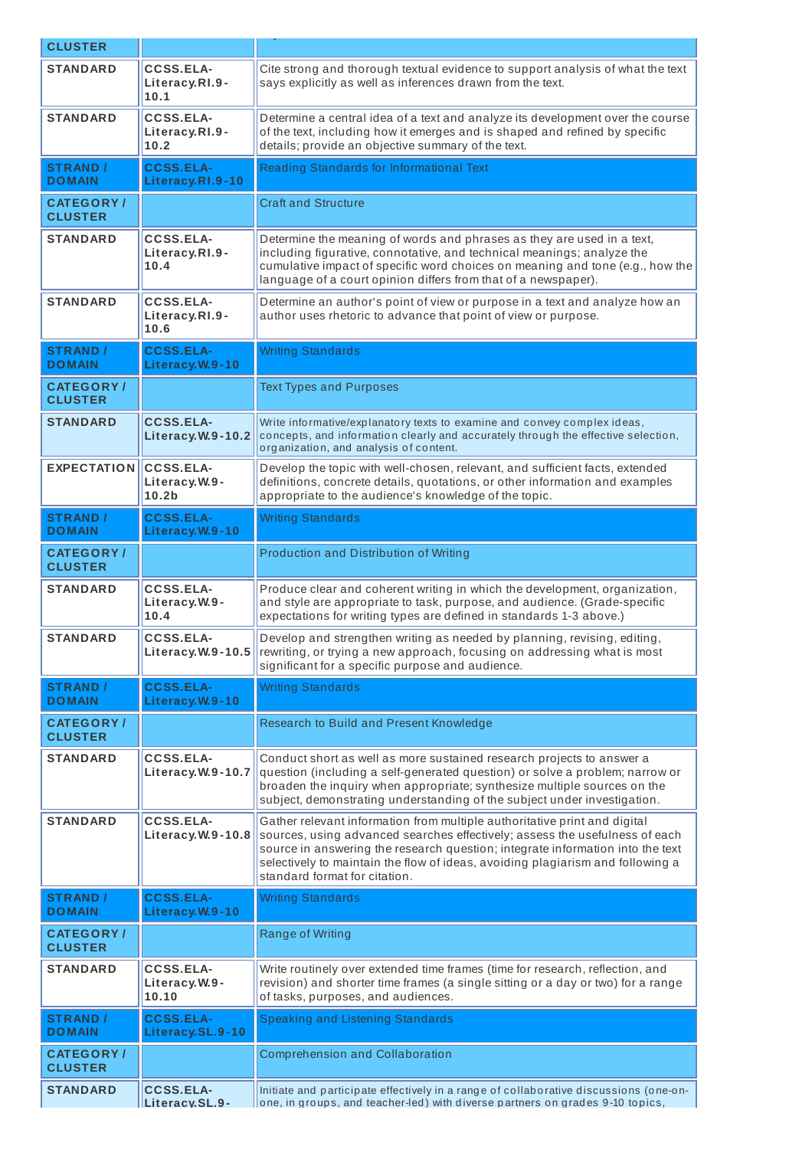| <b>CLUSTER</b>                      |                                                        |                                                                                                                                                                                                                                                                                                                                                               |
|-------------------------------------|--------------------------------------------------------|---------------------------------------------------------------------------------------------------------------------------------------------------------------------------------------------------------------------------------------------------------------------------------------------------------------------------------------------------------------|
| <b>STANDARD</b>                     | CCSS.ELA-<br>Literacy.RI.9-<br>10.1                    | Cite strong and thorough textual evidence to support analysis of what the text<br>says explicitly as well as inferences drawn from the text.                                                                                                                                                                                                                  |
| <b>STANDARD</b>                     | CCSS.ELA-<br>Literacy.RI.9-<br>10.2                    | Determine a central idea of a text and analyze its development over the course<br>of the text, including how it emerges and is shaped and refined by specific<br>details; provide an objective summary of the text.                                                                                                                                           |
| <b>STRAND /</b><br><b>DOMAIN</b>    | <b>CCSS.ELA-</b><br>Literacy.RI.9-10                   | Reading Standards for Informational Text                                                                                                                                                                                                                                                                                                                      |
| <b>CATEGORY</b> /<br><b>CLUSTER</b> |                                                        | <b>Craft and Structure</b>                                                                                                                                                                                                                                                                                                                                    |
| <b>STANDARD</b>                     | <b>CCSS.ELA-</b><br>Literacy.RI.9-<br>10.4             | Determine the meaning of words and phrases as they are used in a text,<br>including figurative, connotative, and technical meanings; analyze the<br>cumulative impact of specific word choices on meaning and tone (e.g., how the<br>language of a court opinion differs from that of a newspaper).                                                           |
| <b>STANDARD</b>                     | <b>CCSS.ELA-</b><br>Literacy.RI.9-<br>10.6             | Determine an author's point of view or purpose in a text and analyze how an<br>author uses rhetoric to advance that point of view or purpose.                                                                                                                                                                                                                 |
| <b>STRAND /</b><br><b>DOMAIN</b>    | <b>CCSS.ELA-</b><br>Literacy.W.9-10                    | <b>Writing Standards</b>                                                                                                                                                                                                                                                                                                                                      |
| <b>CATEGORY</b> /<br><b>CLUSTER</b> |                                                        | <b>Text Types and Purposes</b>                                                                                                                                                                                                                                                                                                                                |
| <b>STANDARD</b>                     | <b>CCSS.ELA-</b><br>Literacy.W.9-10.2                  | Write informative/explanatory texts to examine and convey complex ideas,<br>concepts, and information clearly and accurately through the effective selection,<br>organization, and analysis of content.                                                                                                                                                       |
| <b>EXPECTATION</b>                  | <b>CCSS.ELA-</b><br>Literacy.W.9-<br>10.2 <sub>b</sub> | Develop the topic with well-chosen, relevant, and sufficient facts, extended<br>definitions, concrete details, quotations, or other information and examples<br>appropriate to the audience's knowledge of the topic.                                                                                                                                         |
| <b>STRAND</b> /<br><b>DOMAIN</b>    | <b>CCSS.ELA-</b><br>Literacy.W.9-10                    | <b>Writing Standards</b>                                                                                                                                                                                                                                                                                                                                      |
| <b>CATEGORY/</b><br><b>CLUSTER</b>  |                                                        | <b>Production and Distribution of Writing</b>                                                                                                                                                                                                                                                                                                                 |
| <b>STANDARD</b>                     | <b>CCSS.ELA-</b><br>Literacy.W.9-<br>10.4              | Produce clear and coherent writing in which the development, organization,<br>and style are appropriate to task, purpose, and audience. (Grade-specific<br>expectations for writing types are defined in standards 1-3 above.)                                                                                                                                |
| <b>STANDARD</b>                     | <b>CCSS.ELA-</b>                                       | Develop and strengthen writing as needed by planning, revising, editing,<br><b>Literacy. W.9-10.5</b> rewriting, or trying a new approach, focusing on addressing what is most<br>significant for a specific purpose and audience.                                                                                                                            |
| <b>STRAND /</b><br><b>DOMAIN</b>    | <b>CCSS.ELA-</b><br>Literacy.W.9-10                    | <b>Writing Standards</b>                                                                                                                                                                                                                                                                                                                                      |
| <b>CATEGORY/</b><br><b>CLUSTER</b>  |                                                        | Research to Build and Present Knowledge                                                                                                                                                                                                                                                                                                                       |
| <b>STANDARD</b>                     | <b>CCSS.ELA-</b><br>Literacy.W.9-10.7                  | Conduct short as well as more sustained research projects to answer a<br>question (including a self-generated question) or solve a problem; narrow or<br>broaden the inquiry when appropriate; synthesize multiple sources on the<br>subject, demonstrating understanding of the subject under investigation.                                                 |
| <b>STANDARD</b>                     | <b>CCSS.ELA-</b><br>Literacy.W.9-10.8                  | Gather relevant information from multiple authoritative print and digital<br>sources, using advanced searches effectively; assess the usefulness of each<br>source in answering the research question; integrate information into the text<br>selectively to maintain the flow of ideas, avoiding plagiarism and following a<br>standard format for citation. |
| <b>STRAND /</b><br><b>DOMAIN</b>    | <b>CCSS.ELA-</b><br>Literacy.W.9-10                    | <b>Writing Standards</b>                                                                                                                                                                                                                                                                                                                                      |
| <b>CATEGORY/</b><br><b>CLUSTER</b>  |                                                        | <b>Range of Writing</b>                                                                                                                                                                                                                                                                                                                                       |
| <b>STANDARD</b>                     | <b>CCSS.ELA-</b><br>Literacy.W.9-<br>10.10             | Write routinely over extended time frames (time for research, reflection, and<br>revision) and shorter time frames (a single sitting or a day or two) for a range<br>of tasks, purposes, and audiences.                                                                                                                                                       |
| <b>STRAND /</b><br><b>DOMAIN</b>    | <b>CCSS.ELA-</b><br>Literacy.SL.9-10                   | Speaking and Listening Standards                                                                                                                                                                                                                                                                                                                              |
| <b>CATEGORY/</b><br><b>CLUSTER</b>  |                                                        | <b>Comprehension and Collaboration</b>                                                                                                                                                                                                                                                                                                                        |
| <b>STANDARD</b>                     | <b>CCSS.ELA-</b><br>Literacy.SL.9-                     | Initiate and participate effectively in a range of collaborative discussions (one-on-<br>one, in groups, and teacher-led) with diverse partners on grades 9-10 topics,                                                                                                                                                                                        |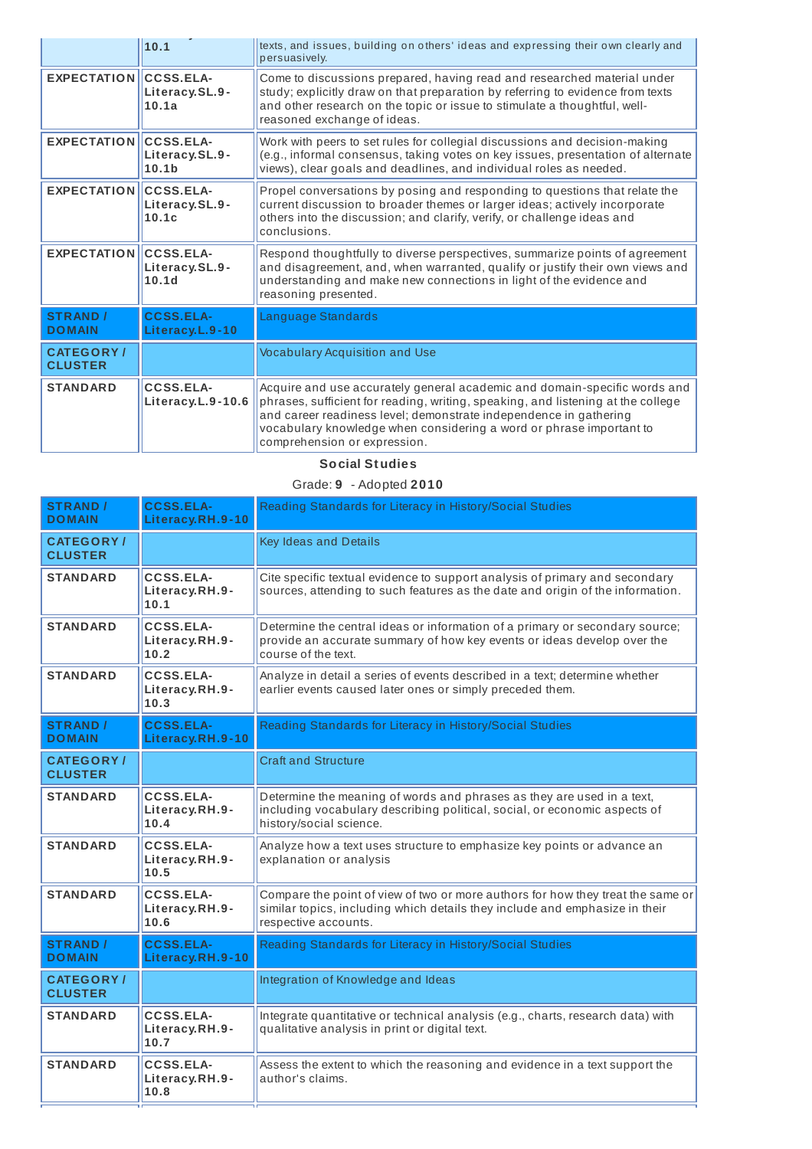|                                    | 10.1                                | texts, and issues, building on others' ideas and expressing their own clearly and<br>persuasively.                                                                                                                                                                                                                                        |
|------------------------------------|-------------------------------------|-------------------------------------------------------------------------------------------------------------------------------------------------------------------------------------------------------------------------------------------------------------------------------------------------------------------------------------------|
| <b>EXPECTATION CCSS.ELA-</b>       | Literacy.SL.9-<br>10.1a             | Come to discussions prepared, having read and researched material under<br>study; explicitly draw on that preparation by referring to evidence from texts<br>and other research on the topic or issue to stimulate a thoughtful, well-<br>reasoned exchange of ideas.                                                                     |
| <b>EXPECTATION CCSS.ELA-</b>       | Literacy.SL.9-<br>10.1 <sub>b</sub> | Work with peers to set rules for collegial discussions and decision-making<br>(e.g., informal consensus, taking votes on key issues, presentation of alternate<br>views), clear goals and deadlines, and individual roles as needed.                                                                                                      |
| EXPECTATION CCSS.ELA-              | Literacy.SL.9-<br>10.1c             | Propel conversations by posing and responding to questions that relate the<br>current discussion to broader themes or larger ideas; actively incorporate<br>others into the discussion; and clarify, verify, or challenge ideas and<br>conclusions.                                                                                       |
| EXPECTATION CCSS.ELA-              | Literacy.SL.9-<br>10.1 <sub>d</sub> | Respond thoughtfully to diverse perspectives, summarize points of agreement<br>and disagreement, and, when warranted, qualify or justify their own views and<br>understanding and make new connections in light of the evidence and<br>reasoning presented.                                                                               |
| <b>STRAND /</b><br><b>DOMAIN</b>   | <b>CCSS.ELA-</b><br>Literacy.L.9-10 | Language Standards                                                                                                                                                                                                                                                                                                                        |
| <b>CATEGORY/</b><br><b>CLUSTER</b> |                                     | <b>Vocabulary Acquisition and Use</b>                                                                                                                                                                                                                                                                                                     |
| <b>STANDARD</b>                    | CCSS.ELA-<br>Literacy.L.9-10.6      | Acquire and use accurately general academic and domain-specific words and<br>phrases, sufficient for reading, writing, speaking, and listening at the college<br>and career readiness level; demonstrate independence in gathering<br>vocabulary knowledge when considering a word or phrase important to<br>comprehension or expression. |

## **Social St udies**

## Grade: **9** - Adopted **2010**

| <b>Key Ideas and Details</b><br><b>CATEGORY/</b><br><b>CLUSTER</b><br><b>CCSS.ELA-</b><br><b>STANDARD</b><br>Cite specific textual evidence to support analysis of primary and secondary<br>sources, attending to such features as the date and origin of the information.<br>Literacy.RH.9-<br>10.1<br><b>STANDARD</b><br><b>CCSS.ELA-</b><br>Determine the central ideas or information of a primary or secondary source;<br>provide an accurate summary of how key events or ideas develop over the<br>Literacy.RH.9-<br>10.2<br>course of the text.<br><b>STANDARD</b><br><b>CCSS.ELA-</b><br>Analyze in detail a series of events described in a text; determine whether<br>earlier events caused later ones or simply preceded them.<br>Literacy.RH.9-<br>10.3<br><b>CCSS.ELA-</b><br>Reading Standards for Literacy in History/Social Studies<br><b>STRAND /</b><br>Literacy.RH.9-10<br><b>DOMAIN</b><br><b>Craft and Structure</b><br><b>CATEGORY/</b><br><b>CLUSTER</b><br><b>CCSS.ELA-</b><br>Determine the meaning of words and phrases as they are used in a text,<br><b>STANDARD</b><br>Literacy.RH.9-<br>including vocabulary describing political, social, or economic aspects of<br>10.4<br>history/social science.<br><b>STANDARD</b><br><b>CCSS.ELA-</b><br>Analyze how a text uses structure to emphasize key points or advance an<br>explanation or analysis<br>Literacy.RH.9-<br>10.5<br>CCSS.ELA-<br><b>STANDARD</b><br>similar topics, including which details they include and emphasize in their<br>Literacy.RH.9-<br>10.6<br>respective accounts.<br><b>CCSS.ELA-</b><br>Reading Standards for Literacy in History/Social Studies<br><b>STRAND /</b><br>Literacy.RH.9-10<br><b>DOMAIN</b><br>Integration of Knowledge and Ideas<br><b>CATEGORY/</b> | <b>STRAND /</b><br><b>DOMAIN</b> | <b>CCSS.ELA-</b><br>Literacy.RH.9-10 | Reading Standards for Literacy in History/Social Studies |
|-------------------------------------------------------------------------------------------------------------------------------------------------------------------------------------------------------------------------------------------------------------------------------------------------------------------------------------------------------------------------------------------------------------------------------------------------------------------------------------------------------------------------------------------------------------------------------------------------------------------------------------------------------------------------------------------------------------------------------------------------------------------------------------------------------------------------------------------------------------------------------------------------------------------------------------------------------------------------------------------------------------------------------------------------------------------------------------------------------------------------------------------------------------------------------------------------------------------------------------------------------------------------------------------------------------------------------------------------------------------------------------------------------------------------------------------------------------------------------------------------------------------------------------------------------------------------------------------------------------------------------------------------------------------------------------------------------------------------------------------------------------------------------|----------------------------------|--------------------------------------|----------------------------------------------------------|
|                                                                                                                                                                                                                                                                                                                                                                                                                                                                                                                                                                                                                                                                                                                                                                                                                                                                                                                                                                                                                                                                                                                                                                                                                                                                                                                                                                                                                                                                                                                                                                                                                                                                                                                                                                               |                                  |                                      |                                                          |
| Compare the point of view of two or more authors for how they treat the same or                                                                                                                                                                                                                                                                                                                                                                                                                                                                                                                                                                                                                                                                                                                                                                                                                                                                                                                                                                                                                                                                                                                                                                                                                                                                                                                                                                                                                                                                                                                                                                                                                                                                                               |                                  |                                      |                                                          |
|                                                                                                                                                                                                                                                                                                                                                                                                                                                                                                                                                                                                                                                                                                                                                                                                                                                                                                                                                                                                                                                                                                                                                                                                                                                                                                                                                                                                                                                                                                                                                                                                                                                                                                                                                                               |                                  |                                      |                                                          |
|                                                                                                                                                                                                                                                                                                                                                                                                                                                                                                                                                                                                                                                                                                                                                                                                                                                                                                                                                                                                                                                                                                                                                                                                                                                                                                                                                                                                                                                                                                                                                                                                                                                                                                                                                                               |                                  |                                      |                                                          |
|                                                                                                                                                                                                                                                                                                                                                                                                                                                                                                                                                                                                                                                                                                                                                                                                                                                                                                                                                                                                                                                                                                                                                                                                                                                                                                                                                                                                                                                                                                                                                                                                                                                                                                                                                                               |                                  |                                      |                                                          |
|                                                                                                                                                                                                                                                                                                                                                                                                                                                                                                                                                                                                                                                                                                                                                                                                                                                                                                                                                                                                                                                                                                                                                                                                                                                                                                                                                                                                                                                                                                                                                                                                                                                                                                                                                                               |                                  |                                      |                                                          |
|                                                                                                                                                                                                                                                                                                                                                                                                                                                                                                                                                                                                                                                                                                                                                                                                                                                                                                                                                                                                                                                                                                                                                                                                                                                                                                                                                                                                                                                                                                                                                                                                                                                                                                                                                                               |                                  |                                      |                                                          |
|                                                                                                                                                                                                                                                                                                                                                                                                                                                                                                                                                                                                                                                                                                                                                                                                                                                                                                                                                                                                                                                                                                                                                                                                                                                                                                                                                                                                                                                                                                                                                                                                                                                                                                                                                                               |                                  |                                      |                                                          |
|                                                                                                                                                                                                                                                                                                                                                                                                                                                                                                                                                                                                                                                                                                                                                                                                                                                                                                                                                                                                                                                                                                                                                                                                                                                                                                                                                                                                                                                                                                                                                                                                                                                                                                                                                                               |                                  |                                      |                                                          |
|                                                                                                                                                                                                                                                                                                                                                                                                                                                                                                                                                                                                                                                                                                                                                                                                                                                                                                                                                                                                                                                                                                                                                                                                                                                                                                                                                                                                                                                                                                                                                                                                                                                                                                                                                                               |                                  |                                      |                                                          |
|                                                                                                                                                                                                                                                                                                                                                                                                                                                                                                                                                                                                                                                                                                                                                                                                                                                                                                                                                                                                                                                                                                                                                                                                                                                                                                                                                                                                                                                                                                                                                                                                                                                                                                                                                                               | <b>CLUSTER</b>                   |                                      |                                                          |
| <b>CCSS.ELA-</b><br><b>STANDARD</b><br>Integrate quantitative or technical analysis (e.g., charts, research data) with<br>Literacy.RH.9-<br>qualitative analysis in print or digital text.<br>10.7                                                                                                                                                                                                                                                                                                                                                                                                                                                                                                                                                                                                                                                                                                                                                                                                                                                                                                                                                                                                                                                                                                                                                                                                                                                                                                                                                                                                                                                                                                                                                                            |                                  |                                      |                                                          |
| <b>STANDARD</b><br>CCSS.ELA-<br>Assess the extent to which the reasoning and evidence in a text support the<br>author's claims.<br>Literacy.RH.9-<br>10.8                                                                                                                                                                                                                                                                                                                                                                                                                                                                                                                                                                                                                                                                                                                                                                                                                                                                                                                                                                                                                                                                                                                                                                                                                                                                                                                                                                                                                                                                                                                                                                                                                     |                                  |                                      |                                                          |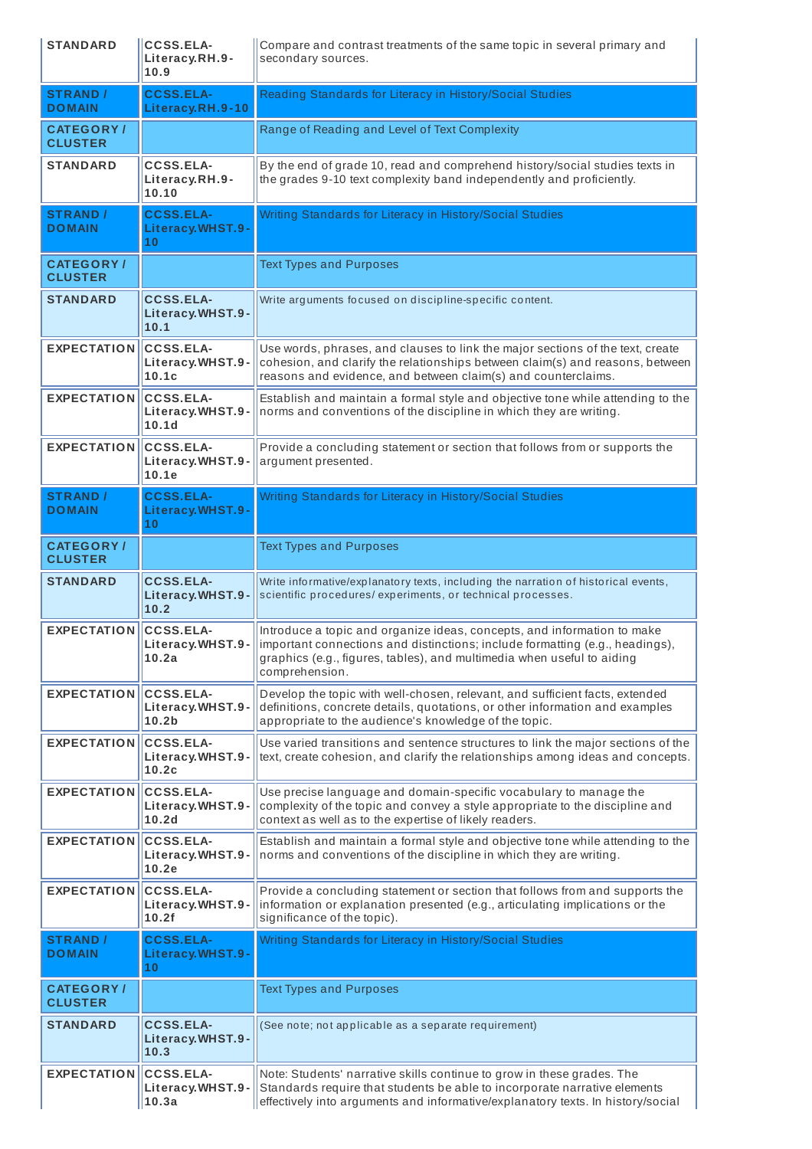| <b>STANDARD</b>                    | <b>CCSS.ELA-</b><br>Literacy.RH.9-<br>10.9                | Compare and contrast treatments of the same topic in several primary and<br>secondary sources.                                                                                                                                                      |
|------------------------------------|-----------------------------------------------------------|-----------------------------------------------------------------------------------------------------------------------------------------------------------------------------------------------------------------------------------------------------|
| <b>STRAND /</b><br><b>DOMAIN</b>   | <b>CCSS.ELA-</b><br>Literacy.RH.9-10                      | Reading Standards for Literacy in History/Social Studies                                                                                                                                                                                            |
| <b>CATEGORY/</b><br><b>CLUSTER</b> |                                                           | Range of Reading and Level of Text Complexity                                                                                                                                                                                                       |
| <b>STANDARD</b>                    | <b>CCSS.ELA-</b><br>Literacy.RH.9-<br>10.10               | By the end of grade 10, read and comprehend history/social studies texts in<br>the grades 9-10 text complexity band independently and proficiently.                                                                                                 |
| <b>STRAND /</b><br><b>DOMAIN</b>   | <b>CCSS.ELA-</b><br>Literacy.WHST.9-<br>10                | Writing Standards for Literacy in History/Social Studies                                                                                                                                                                                            |
| <b>CATEGORY/</b><br><b>CLUSTER</b> |                                                           | <b>Text Types and Purposes</b>                                                                                                                                                                                                                      |
| <b>STANDARD</b>                    | <b>CCSS.ELA-</b><br>Literacy.WHST.9-<br>10.1              | Write arguments focused on discipline-specific content.                                                                                                                                                                                             |
| <b>EXPECTATION</b>                 | <b>CCSS.ELA-</b><br>Literacy.WHST.9-<br>10.1c             | Use words, phrases, and clauses to link the major sections of the text, create<br>cohesion, and clarify the relationships between claim(s) and reasons, between<br>reasons and evidence, and between claim(s) and counterclaims.                    |
| <b>EXPECTATION</b>                 | <b>CCSS.ELA-</b><br>Literacy.WHST.9-<br>10.1 <sub>d</sub> | Establish and maintain a formal style and objective tone while attending to the<br>norms and conventions of the discipline in which they are writing.                                                                                               |
| <b>EXPECTATION</b>                 | <b>CCSS.ELA-</b><br>Literacy.WHST.9-<br>10.1e             | Provide a concluding statement or section that follows from or supports the<br>argument presented.                                                                                                                                                  |
| <b>STRAND /</b><br><b>DOMAIN</b>   | <b>CCSS.ELA-</b><br>Literacy.WHST.9-<br>10                | Writing Standards for Literacy in History/Social Studies                                                                                                                                                                                            |
| <b>CATEGORY/</b><br><b>CLUSTER</b> |                                                           | <b>Text Types and Purposes</b>                                                                                                                                                                                                                      |
| <b>STANDARD</b>                    | <b>CCSS.ELA-</b><br>Literacy.WHST.9-<br>10.2              | Write informative/explanatory texts, including the narration of historical events,<br>scientific procedures/experiments, or technical processes.                                                                                                    |
| <b>EXPECTATION</b>                 | <b>CCSS.ELA-</b><br>Literacy.WHST.9-<br>10.2a             | Introduce a topic and organize ideas, concepts, and information to make<br>important connections and distinctions; include formatting (e.g., headings),<br>graphics (e.g., figures, tables), and multimedia when useful to aiding<br>comprehension. |
| <b>EXPECTATION</b>                 | <b>CCSS.ELA-</b><br>Literacy.WHST.9-<br>10.2 <sub>b</sub> | Develop the topic with well-chosen, relevant, and sufficient facts, extended<br>definitions, concrete details, quotations, or other information and examples<br>appropriate to the audience's knowledge of the topic.                               |
| <b>EXPECTATION</b>                 | <b>CCSS.ELA-</b><br>Literacy.WHST.9-<br>10.2c             | Use varied transitions and sentence structures to link the major sections of the<br>text, create cohesion, and clarify the relationships among ideas and concepts.                                                                                  |
| <b>EXPECTATION</b>                 | <b>CCSS.ELA-</b><br>Literacy.WHST.9-<br>10.2 <sub>d</sub> | Use precise language and domain-specific vocabulary to manage the<br>complexity of the topic and convey a style appropriate to the discipline and<br>context as well as to the expertise of likely readers.                                         |
| <b>EXPECTATION</b>                 | <b>CCSS.ELA-</b><br>Literacy.WHST.9-<br>10.2e             | Establish and maintain a formal style and objective tone while attending to the<br>norms and conventions of the discipline in which they are writing.                                                                                               |
| <b>EXPECTATION</b>                 | <b>CCSS.ELA-</b><br>Literacy.WHST.9-<br>10.2f             | Provide a concluding statement or section that follows from and supports the<br>information or explanation presented (e.g., articulating implications or the<br>significance of the topic).                                                         |
| <b>STRAND /</b><br><b>DOMAIN</b>   | <b>CCSS.ELA-</b><br>Literacy.WHST.9-<br>10                | Writing Standards for Literacy in History/Social Studies                                                                                                                                                                                            |
| <b>CATEGORY/</b><br><b>CLUSTER</b> |                                                           | <b>Text Types and Purposes</b>                                                                                                                                                                                                                      |
| <b>STANDARD</b>                    | <b>CCSS.ELA-</b><br>Literacy.WHST.9-<br>10.3              | (See note; not applicable as a separate requirement)                                                                                                                                                                                                |
| <b>EXPECTATION</b>                 | <b>CCSS.ELA-</b><br>Literacy.WHST.9-                      | Note: Students' narrative skills continue to grow in these grades. The<br>Standards require that students be able to incorporate narrative elements                                                                                                 |
|                                    | 10.3a                                                     | effectively into arguments and informative/explanatory texts. In history/social                                                                                                                                                                     |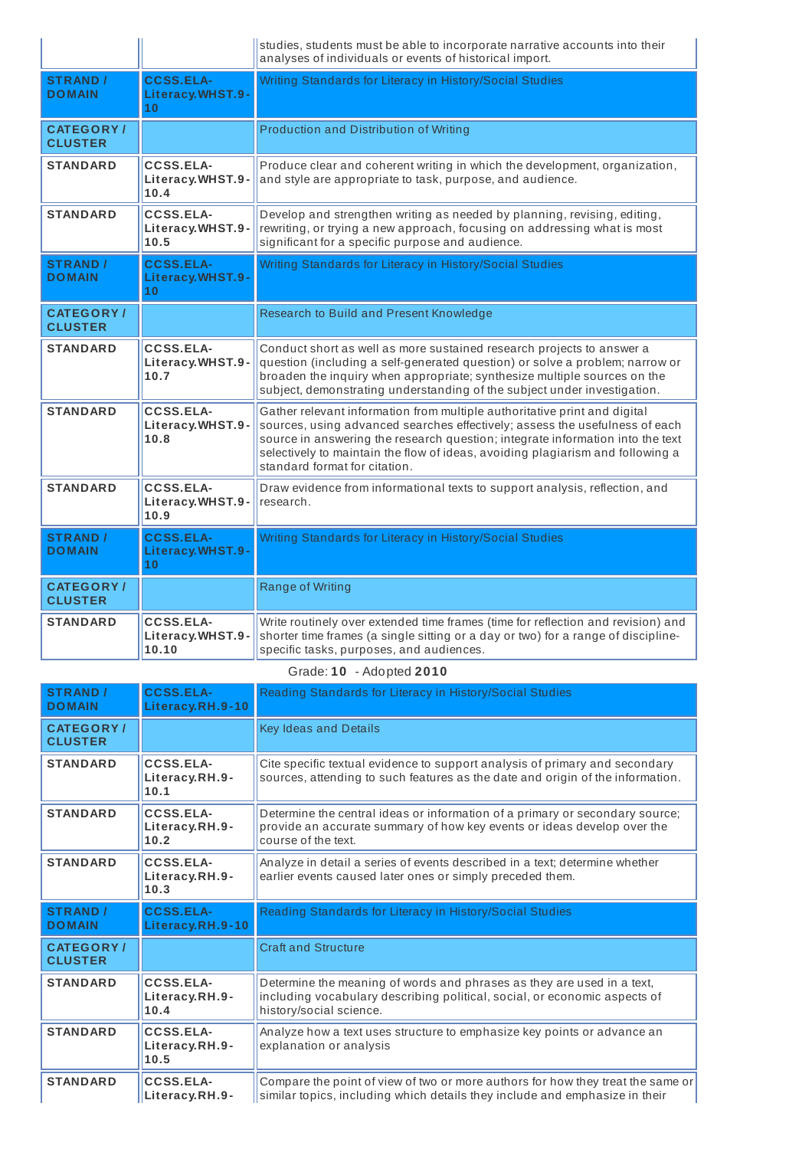|                                     |                                               | studies, students must be able to incorporate narrative accounts into their<br>analyses of individuals or events of historical import.                                                                                                                                                                                                                        |
|-------------------------------------|-----------------------------------------------|---------------------------------------------------------------------------------------------------------------------------------------------------------------------------------------------------------------------------------------------------------------------------------------------------------------------------------------------------------------|
| <b>STRAND /</b><br><b>DOMAIN</b>    | <b>CCSS.ELA-</b><br>Literacy.WHST.9-<br>10    | Writing Standards for Literacy in History/Social Studies                                                                                                                                                                                                                                                                                                      |
| <b>CATEGORY</b> /<br><b>CLUSTER</b> |                                               | Production and Distribution of Writing                                                                                                                                                                                                                                                                                                                        |
| <b>STANDARD</b>                     | CCSS.ELA-<br>Literacy.WHST.9-<br>10.4         | Produce clear and coherent writing in which the development, organization,<br>and style are appropriate to task, purpose, and audience.                                                                                                                                                                                                                       |
| <b>STANDARD</b>                     | <b>CCSS.ELA-</b><br>Literacy.WHST.9-<br>10.5  | Develop and strengthen writing as needed by planning, revising, editing,<br>rewriting, or trying a new approach, focusing on addressing what is most<br>significant for a specific purpose and audience.                                                                                                                                                      |
| <b>STRAND /</b><br><b>DOMAIN</b>    | <b>CCSS.ELA-</b><br>Literacy.WHST.9-<br>10    | Writing Standards for Literacy in History/Social Studies                                                                                                                                                                                                                                                                                                      |
| <b>CATEGORY/</b><br><b>CLUSTER</b>  |                                               | Research to Build and Present Knowledge                                                                                                                                                                                                                                                                                                                       |
| <b>STANDARD</b>                     | <b>CCSS.ELA-</b><br>Literacy.WHST.9-<br>10.7  | Conduct short as well as more sustained research projects to answer a<br>question (including a self-generated question) or solve a problem; narrow or<br>broaden the inquiry when appropriate; synthesize multiple sources on the<br>subject, demonstrating understanding of the subject under investigation.                                                 |
| <b>STANDARD</b>                     | <b>CCSS.ELA-</b><br>Literacy.WHST.9-<br>10.8  | Gather relevant information from multiple authoritative print and digital<br>sources, using advanced searches effectively; assess the usefulness of each<br>source in answering the research question; integrate information into the text<br>selectively to maintain the flow of ideas, avoiding plagiarism and following a<br>standard format for citation. |
| <b>STANDARD</b>                     | <b>CCSS.ELA-</b><br>Literacy.WHST.9-<br>10.9  | Draw evidence from informational texts to support analysis, reflection, and<br>research.                                                                                                                                                                                                                                                                      |
| <b>STRAND</b> /<br><b>DOMAIN</b>    | <b>CCSS.ELA-</b><br>Literacy.WHST.9-<br>10    | Writing Standards for Literacy in History/Social Studies                                                                                                                                                                                                                                                                                                      |
| <b>CATEGORY/</b><br><b>CLUSTER</b>  |                                               | Range of Writing                                                                                                                                                                                                                                                                                                                                              |
| <b>STANDARD</b>                     | <b>CCSS.ELA-</b><br>Literacy.WHST.9-<br>10.10 | Write routinely over extended time frames (time for reflection and revision) and<br>shorter time frames (a single sitting or a day or two) for a range of discipline-<br>specific tasks, purposes, and audiences.                                                                                                                                             |

Grade: **10** - Adopted **2010**

| <b>STRAND /</b><br><b>DOMAIN</b>    | <b>CCSS.ELA-</b><br>Literacy.RH.9-10       | Reading Standards for Literacy in History/Social Studies                                                                                                                       |
|-------------------------------------|--------------------------------------------|--------------------------------------------------------------------------------------------------------------------------------------------------------------------------------|
| <b>CATEGORY /</b><br><b>CLUSTER</b> |                                            | <b>Key Ideas and Details</b>                                                                                                                                                   |
| <b>STANDARD</b>                     | <b>CCSS.ELA-</b><br>Literacy.RH.9-<br>10.1 | Cite specific textual evidence to support analysis of primary and secondary<br>sources, attending to such features as the date and origin of the information.                  |
| <b>STANDARD</b>                     | CCSS.ELA-<br>Literacy.RH.9-<br>10.2        | Determine the central ideas or information of a primary or secondary source;<br>provide an accurate summary of how key events or ideas develop over the<br>course of the text. |
| <b>STANDARD</b>                     | <b>CCSS.ELA-</b><br>Literacy.RH.9-<br>10.3 | Analyze in detail a series of events described in a text; determine whether<br>earlier events caused later ones or simply preceded them.                                       |
| <b>STRAND /</b><br><b>DOMAIN</b>    | <b>CCSS.ELA-</b><br>Literacy.RH.9-10       | Reading Standards for Literacy in History/Social Studies                                                                                                                       |
| <b>CATEGORY/</b><br><b>CLUSTER</b>  |                                            | <b>Craft and Structure</b>                                                                                                                                                     |
| <b>STANDARD</b>                     | CCSS.ELA-<br>Literacy.RH.9-<br>10.4        | Determine the meaning of words and phrases as they are used in a text,<br>including vocabulary describing political, social, or economic aspects of<br>history/social science. |
| <b>STANDARD</b>                     | CCSS.ELA-<br>Literacy.RH.9-<br>10.5        | Analyze how a text uses structure to emphasize key points or advance an<br>explanation or analysis                                                                             |
| <b>STANDARD</b>                     | <b>CCSS.ELA-</b><br>Literacy.RH.9-         | Compare the point of view of two or more authors for how they treat the same or<br>similar topics, including which details they include and emphasize in their                 |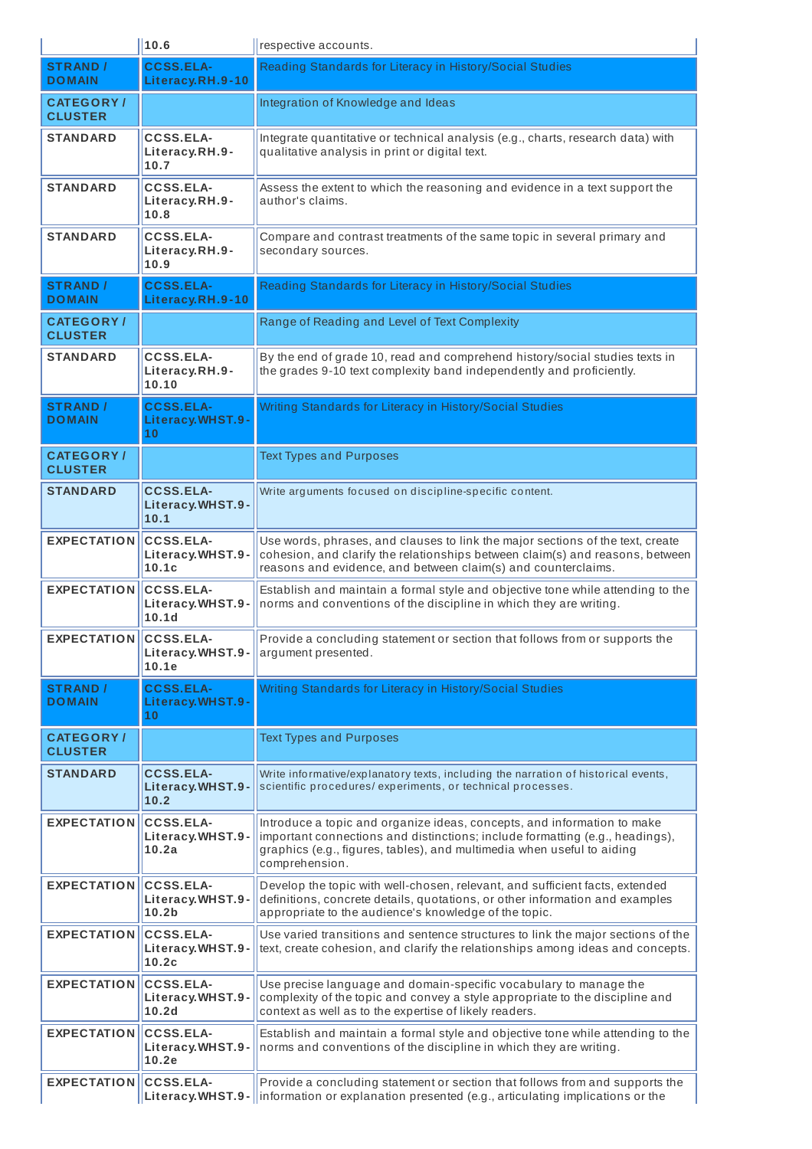|                                    | 10.6                                                      | respective accounts.                                                                                                                                                                                                                                |
|------------------------------------|-----------------------------------------------------------|-----------------------------------------------------------------------------------------------------------------------------------------------------------------------------------------------------------------------------------------------------|
| <b>STRAND /</b><br><b>DOMAIN</b>   | <b>CCSS.ELA-</b><br>Literacy.RH.9-10                      | Reading Standards for Literacy in History/Social Studies                                                                                                                                                                                            |
| <b>CATEGORY/</b><br><b>CLUSTER</b> |                                                           | Integration of Knowledge and Ideas                                                                                                                                                                                                                  |
| <b>STANDARD</b>                    | <b>CCSS.ELA-</b><br>Literacy.RH.9-<br>10.7                | Integrate quantitative or technical analysis (e.g., charts, research data) with<br>qualitative analysis in print or digital text.                                                                                                                   |
| <b>STANDARD</b>                    | <b>CCSS.ELA-</b><br>Literacy.RH.9-<br>10.8                | Assess the extent to which the reasoning and evidence in a text support the<br>author's claims.                                                                                                                                                     |
| <b>STANDARD</b>                    | <b>CCSS.ELA-</b><br>Literacy.RH.9-<br>10.9                | Compare and contrast treatments of the same topic in several primary and<br>secondary sources.                                                                                                                                                      |
| <b>STRAND /</b><br><b>DOMAIN</b>   | <b>CCSS.ELA-</b><br>Literacy.RH.9-10                      | Reading Standards for Literacy in History/Social Studies                                                                                                                                                                                            |
| <b>CATEGORY/</b><br><b>CLUSTER</b> |                                                           | Range of Reading and Level of Text Complexity                                                                                                                                                                                                       |
| <b>STANDARD</b>                    | <b>CCSS.ELA-</b><br>Literacy.RH.9-<br>10.10               | By the end of grade 10, read and comprehend history/social studies texts in<br>the grades 9-10 text complexity band independently and proficiently.                                                                                                 |
| <b>STRAND /</b><br><b>DOMAIN</b>   | <b>CCSS.ELA-</b><br>Literacy.WHST.9-<br>10                | Writing Standards for Literacy in History/Social Studies                                                                                                                                                                                            |
| <b>CATEGORY/</b><br><b>CLUSTER</b> |                                                           | <b>Text Types and Purposes</b>                                                                                                                                                                                                                      |
| <b>STANDARD</b>                    | <b>CCSS.ELA-</b><br>Literacy.WHST.9-<br>10.1              | Write arguments focused on discipline-specific content.                                                                                                                                                                                             |
| <b>EXPECTATION</b>                 | <b>CCSS.ELA-</b><br>Literacy.WHST.9-<br>10.1c             | Use words, phrases, and clauses to link the major sections of the text, create<br>cohesion, and clarify the relationships between claim(s) and reasons, between<br>reasons and evidence, and between claim(s) and counterclaims.                    |
| <b>EXPECTATION</b>                 | <b>CCSS.ELA-</b><br>Literacy.WHST.9-<br>10.1d             | Establish and maintain a formal style and objective tone while attending to the<br>norms and conventions of the discipline in which they are writing.                                                                                               |
| <b>EXPECTATION</b>                 | <b>CCSS.ELA-</b><br>10.1e                                 | Provide a concluding statement or section that follows from or supports the<br><b>Literacy.WHST.9-</b> $\vert$ argument presented.                                                                                                                  |
| <b>STRAND /</b><br><b>DOMAIN</b>   | <b>CCSS.ELA-</b><br>Literacy.WHST.9-<br>10                | Writing Standards for Literacy in History/Social Studies                                                                                                                                                                                            |
| <b>CATEGORY/</b><br><b>CLUSTER</b> |                                                           | <b>Text Types and Purposes</b>                                                                                                                                                                                                                      |
| <b>STANDARD</b>                    | <b>CCSS.ELA-</b><br>Literacy.WHST.9-<br>10.2              | Write informative/explanatory texts, including the narration of historical events,<br>scientific procedures/experiments, or technical processes.                                                                                                    |
| <b>EXPECTATION</b>                 | CCSS.ELA-<br>Literacy.WHST.9-<br>10.2a                    | Introduce a topic and organize ideas, concepts, and information to make<br>important connections and distinctions; include formatting (e.g., headings),<br>graphics (e.g., figures, tables), and multimedia when useful to aiding<br>comprehension. |
| <b>EXPECTATION</b>                 | <b>CCSS.ELA-</b><br>Literacy.WHST.9-<br>10.2 <sub>b</sub> | Develop the topic with well-chosen, relevant, and sufficient facts, extended<br>definitions, concrete details, quotations, or other information and examples<br>appropriate to the audience's knowledge of the topic.                               |
| <b>EXPECTATION</b>                 | <b>CCSS.ELA-</b><br>Literacy.WHST.9-<br>10.2c             | Use varied transitions and sentence structures to link the major sections of the<br>text, create cohesion, and clarify the relationships among ideas and concepts.                                                                                  |
| <b>EXPECTATION</b>                 | <b>CCSS.ELA-</b><br>Literacy.WHST.9-<br>10.2d             | Use precise language and domain-specific vocabulary to manage the<br>complexity of the topic and convey a style appropriate to the discipline and<br>context as well as to the expertise of likely readers.                                         |
| <b>EXPECTATION</b>                 | <b>CCSS.ELA-</b><br>Literacy.WHST.9-<br>10.2e             | Establish and maintain a formal style and objective tone while attending to the<br>norms and conventions of the discipline in which they are writing.                                                                                               |
| <b>EXPECTATION</b>                 | <b>CCSS.ELA-</b><br>Literacy.WHST.9-                      | Provide a concluding statement or section that follows from and supports the<br>information or explanation presented (e.g., articulating implications or the                                                                                        |